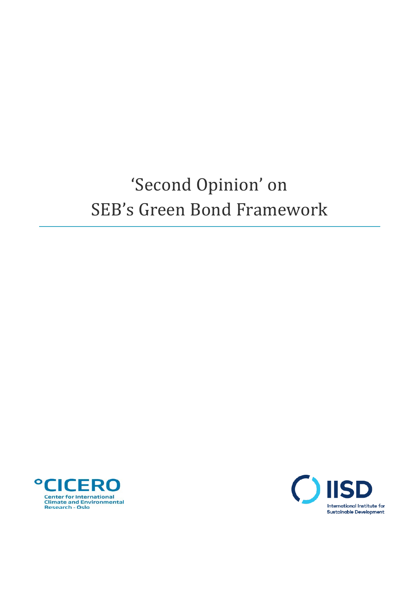# 'Second Opinion' on SEB's Green Bond Framework



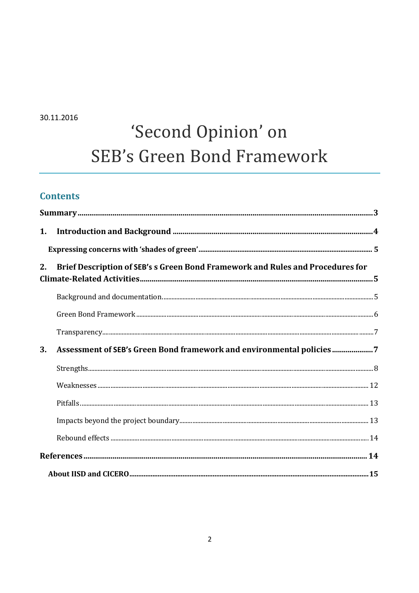30.11.2016

# 'Second Opinion' on **SEB's Green Bond Framework**

## **Contents**

| 2.                                                                         | Brief Description of SEB's s Green Bond Framework and Rules and Procedures for |  |  |
|----------------------------------------------------------------------------|--------------------------------------------------------------------------------|--|--|
|                                                                            |                                                                                |  |  |
|                                                                            |                                                                                |  |  |
|                                                                            |                                                                                |  |  |
| Assessment of SEB's Green Bond framework and environmental policies7<br>3. |                                                                                |  |  |
|                                                                            |                                                                                |  |  |
|                                                                            |                                                                                |  |  |
|                                                                            |                                                                                |  |  |
|                                                                            |                                                                                |  |  |
|                                                                            |                                                                                |  |  |
|                                                                            |                                                                                |  |  |
|                                                                            |                                                                                |  |  |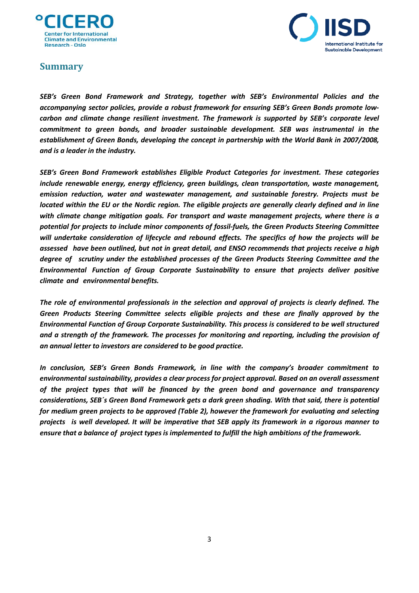



## <span id="page-2-0"></span>**Summary**

*SEB's Green Bond Framework and Strategy, together with SEB's Environmental Policies and the accompanying sector policies, provide a robust framework for ensuring SEB's Green Bonds promote lowcarbon and climate change resilient investment. The framework is supported by SEB's corporate level commitment to green bonds, and broader sustainable development. SEB was instrumental in the establishment of Green Bonds, developing the concept in partnership with the World Bank in 2007/2008, and is a leader in the industry.*

*SEB's Green Bond Framework establishes Eligible Product Categories for investment. These categories include renewable energy, energy efficiency, green buildings, clean transportation, waste management, emission reduction, water and wastewater management, and sustainable forestry. Projects must be* located within the EU or the Nordic region. The eligible projects are generally clearly defined and in line *with climate change mitigation goals. For transport and waste management projects, where there is a potential for projects to include minor components of fossil-fuels, the Green Products Steering Committee will undertake consideration of lifecycle and rebound effects. The specifics of how the projects will be assessed have been outlined, but not in great detail, and ENSO recommends that projects receive a high degree of scrutiny under the established processes of the Green Products Steering Committee and the Environmental Function of Group Corporate Sustainability to ensure that projects deliver positive climate and environmental benefits.*

*The role of environmental professionals in the selection and approval of projects is clearly defined. The Green Products Steering Committee selects eligible projects and these are finally approved by the Environmental Function of Group Corporate Sustainability. This process is considered to be well structured and a strength of the framework. The processes for monitoring and reporting, including the provision of an annual letter to investors are considered to be good practice.*

*In conclusion, SEB's Green Bonds Framework, in line with the company's broader commitment to environmental sustainability, provides a clear process for project approval. Based on an overall assessment of the project types that will be financed by the green bond and governance and transparency considerations, SEB´s Green Bond Framework gets a dark green shading. With that said, there is potential for medium green projects to be approved (Table 2), however the framework for evaluating and selecting projects is well developed. It will be imperative that SEB apply its framework in a rigorous manner to ensure that a balance of project typesis implemented to fulfill the high ambitions of the framework.*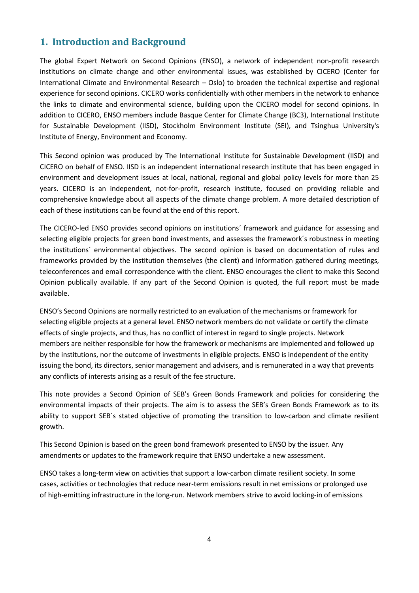## <span id="page-3-0"></span>**1. Introduction and Background**

The global Expert Network on Second Opinions (ENSO), a network of independent non-profit research institutions on climate change and other environmental issues, was established by CICERO (Center for International Climate and Environmental Research – Oslo) to broaden the technical expertise and regional experience for second opinions. CICERO works confidentially with other members in the network to enhance the links to climate and environmental science, building upon the CICERO model for second opinions. In addition to CICERO, ENSO members include Basque Center for Climate Change (BC3), International Institute for Sustainable Development (IISD), Stockholm Environment Institute (SEI), and Tsinghua University's Institute of Energy, Environment and Economy.

This Second opinion was produced by The International Institute for Sustainable Development (IISD) and CICERO on behalf of ENSO. IISD is an independent international research institute that has been engaged in environment and development issues at local, national, regional and global policy levels for more than 25 years. CICERO is an independent, not-for-profit, research institute, focused on providing reliable and comprehensive knowledge about all aspects of the climate change problem. A more detailed description of each of these institutions can be found at the end of this report.

The CICERO-led ENSO provides second opinions on institutions´ framework and guidance for assessing and selecting eligible projects for green bond investments, and assesses the framework´s robustness in meeting the institutions´ environmental objectives. The second opinion is based on documentation of rules and frameworks provided by the institution themselves (the client) and information gathered during meetings, teleconferences and email correspondence with the client. ENSO encourages the client to make this Second Opinion publically available. If any part of the Second Opinion is quoted, the full report must be made available.

ENSO's Second Opinions are normally restricted to an evaluation of the mechanisms or framework for selecting eligible projects at a general level. ENSO network members do not validate or certify the climate effects of single projects, and thus, has no conflict of interest in regard to single projects. Network members are neither responsible for how the framework or mechanisms are implemented and followed up by the institutions, nor the outcome of investments in eligible projects. ENSO is independent of the entity issuing the bond, its directors, senior management and advisers, and is remunerated in a way that prevents any conflicts of interests arising as a result of the fee structure.

This note provides a Second Opinion of SEB's Green Bonds Framework and policies for considering the environmental impacts of their projects. The aim is to assess the SEB's Green Bonds Framework as to its ability to support SEB`s stated objective of promoting the transition to low-carbon and climate resilient growth.

This Second Opinion is based on the green bond framework presented to ENSO by the issuer. Any amendments or updates to the framework require that ENSO undertake a new assessment.

ENSO takes a long-term view on activities that support a low-carbon climate resilient society. In some cases, activities or technologies that reduce near-term emissions result in net emissions or prolonged use of high-emitting infrastructure in the long-run. Network members strive to avoid locking-in of emissions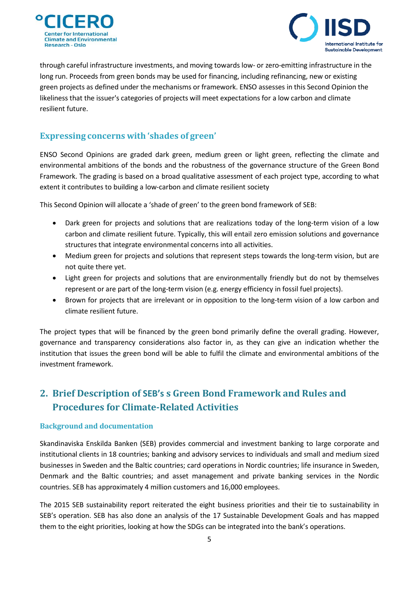



through careful infrastructure investments, and moving towards low- or zero-emitting infrastructure in the long run. Proceeds from green bonds may be used for financing, including refinancing, new or existing green projects as defined under the mechanisms or framework. ENSO assesses in this Second Opinion the likeliness that the issuer's categories of projects will meet expectations for a low carbon and climate resilient future.

### <span id="page-4-0"></span>**Expressing concerns with 'shades of green'**

ENSO Second Opinions are graded dark green, medium green or light green, reflecting the climate and environmental ambitions of the bonds and the robustness of the governance structure of the Green Bond Framework. The grading is based on a broad qualitative assessment of each project type, according to what extent it contributes to building a low-carbon and climate resilient society

This Second Opinion will allocate a 'shade of green' to the green bond framework of SEB:

- Dark green for projects and solutions that are realizations today of the long-term vision of a low carbon and climate resilient future. Typically, this will entail zero emission solutions and governance structures that integrate environmental concerns into all activities.
- Medium green for projects and solutions that represent steps towards the long-term vision, but are not quite there yet.
- Light green for projects and solutions that are environmentally friendly but do not by themselves represent or are part of the long-term vision (e.g. energy efficiency in fossil fuel projects).
- Brown for projects that are irrelevant or in opposition to the long-term vision of a low carbon and climate resilient future.

The project types that will be financed by the green bond primarily define the overall grading. However, governance and transparency considerations also factor in, as they can give an indication whether the institution that issues the green bond will be able to fulfil the climate and environmental ambitions of the investment framework.

# <span id="page-4-1"></span>**2. Brief Description of SEB's s Green Bond Framework and Rules and Procedures for Climate-Related Activities**

#### <span id="page-4-2"></span>**Background and documentation**

Skandinaviska Enskilda Banken (SEB) provides commercial and investment banking to large corporate and institutional clients in 18 countries; banking and advisory services to individuals and small and medium sized businesses in Sweden and the Baltic countries; card operations in Nordic countries; life insurance in Sweden, Denmark and the Baltic countries; and asset management and private banking services in the Nordic countries. SEB has approximately 4 million customers and 16,000 employees.

The 2015 SEB sustainability report reiterated the eight business priorities and their tie to sustainability in SEB's operation. SEB has also done an analysis of the 17 Sustainable Development Goals and has mapped them to the eight priorities, looking at how the SDGs can be integrated into the bank's operations.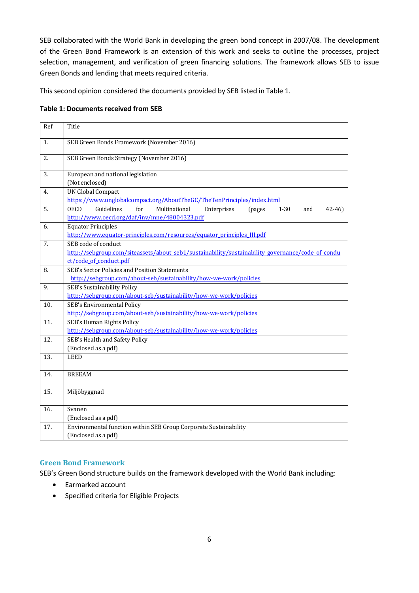SEB collaborated with the World Bank in developing the green bond concept in 2007/08. The development of the Green Bond Framework is an extension of this work and seeks to outline the processes, project selection, management, and verification of green financing solutions. The framework allows SEB to issue Green Bonds and lending that meets required criteria.

This second opinion considered the documents provided by SEB listed in Table 1.

#### **Table 1: Documents received from SEB**

| Ref | Title                                                                                                                                                      |  |  |
|-----|------------------------------------------------------------------------------------------------------------------------------------------------------------|--|--|
| 1.  | SEB Green Bonds Framework (November 2016)                                                                                                                  |  |  |
| 2.  | SEB Green Bonds Strategy (November 2016)                                                                                                                   |  |  |
| 3.  | European and national legislation<br>(Not enclosed)                                                                                                        |  |  |
| 4.  | <b>UN Global Compact</b><br>https://www.unglobalcompact.org/AboutTheGC/TheTenPrinciples/index.html                                                         |  |  |
| 5.  | Guidelines<br>for<br>Multinational<br><b>OECD</b><br>Enterprises<br>$1 - 30$<br>$42 - 46$<br>(pages<br>and<br>http://www.oecd.org/daf/inv/mne/48004323.pdf |  |  |
| 6.  | <b>Equator Principles</b><br>http://www.equator-principles.com/resources/equator_principles_III.pdf                                                        |  |  |
| 7.  | SEB code of conduct<br>http://sebgroup.com/siteassets/about seb1/sustainability/sustainability governance/code of condu<br>ct/code of conduct.pdf          |  |  |
| 8.  | SEB's Sector Policies and Position Statements<br>http://sebgroup.com/about-seb/sustainability/how-we-work/policies                                         |  |  |
| 9.  | SEB's Sustainability Policy<br>http://sebgroup.com/about-seb/sustainability/how-we-work/policies                                                           |  |  |
| 10. | SEB's Environmental Policy<br>http://sebgroup.com/about-seb/sustainability/how-we-work/policies                                                            |  |  |
| 11. | SEB's Human Rights Policy<br>http://sebgroup.com/about-seb/sustainability/how-we-work/policies                                                             |  |  |
| 12. | SEB's Health and Safety Policy<br>(Enclosed as a pdf)                                                                                                      |  |  |
| 13. | <b>LEED</b>                                                                                                                                                |  |  |
| 14. | <b>BREEAM</b>                                                                                                                                              |  |  |
| 15. | Miljöbyggnad                                                                                                                                               |  |  |
| 16. | Svanen<br>(Enclosed as a pdf)                                                                                                                              |  |  |
| 17. | Environmental function within SEB Group Corporate Sustainability<br>(Enclosed as a pdf)                                                                    |  |  |

#### <span id="page-5-0"></span>**Green Bond Framework**

SEB's Green Bond structure builds on the framework developed with the World Bank including:

- Earmarked account
- Specified criteria for Eligible Projects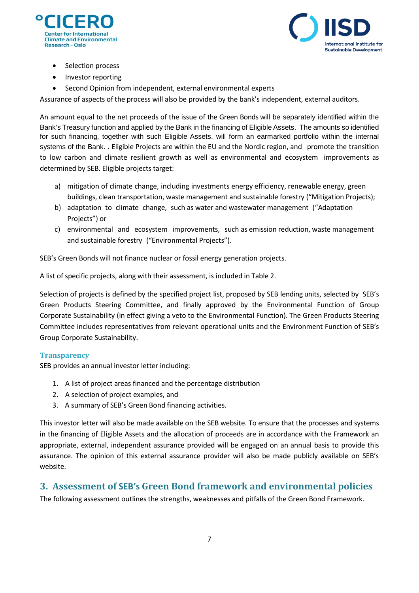



- Selection process
- Investor reporting
- Second Opinion from independent, external environmental experts

Assurance of aspects of the process will also be provided by the bank's independent, external auditors.

An amount equal to the net proceeds of the issue of the Green Bonds will be separately identified within the Bank's Treasury function and applied by the Bank in the financing of Eligible Assets. The amounts so identified for such financing, together with such Eligible Assets, will form an earmarked portfolio within the internal systems of the Bank. . Eligible Projects are within the EU and the Nordic region, and promote the transition to low carbon and climate resilient growth as well as environmental and ecosystem improvements as determined by SEB. Eligible projects target:

- a) mitigation of climate change, including investments energy efficiency, renewable energy, green buildings, clean transportation, waste management and sustainable forestry ("Mitigation Projects);
- b) adaptation to climate change, such as water and wastewater management ("Adaptation Projects") or
- c) environmental and ecosystem improvements, such as emission reduction, waste management and sustainable forestry ("Environmental Projects").

SEB's Green Bonds will not finance nuclear or fossil energy generation projects.

A list of specific projects, along with their assessment, is included in Table 2.

Selection of projects is defined by the specified project list, proposed by SEB lending units, selected by SEB's Green Products Steering Committee, and finally approved by the Environmental Function of Group Corporate Sustainability (in effect giving a veto to the Environmental Function). The Green Products Steering Committee includes representatives from relevant operational units and the Environment Function of SEB's Group Corporate Sustainability.

#### <span id="page-6-0"></span>**Transparency**

SEB provides an annual investor letter including:

- 1. A list of project areas financed and the percentage distribution
- 2. A selection of project examples, and
- 3. A summary of SEB's Green Bond financing activities.

This investor letter will also be made available on the SEB website. To ensure that the processes and systems in the financing of Eligible Assets and the allocation of proceeds are in accordance with the Framework an appropriate, external, independent assurance provided will be engaged on an annual basis to provide this assurance. The opinion of this external assurance provider will also be made publicly available on SEB's website.

## <span id="page-6-1"></span>**3. Assessment of SEB's Green Bond framework and environmental policies**

The following assessment outlines the strengths, weaknesses and pitfalls of the Green Bond Framework.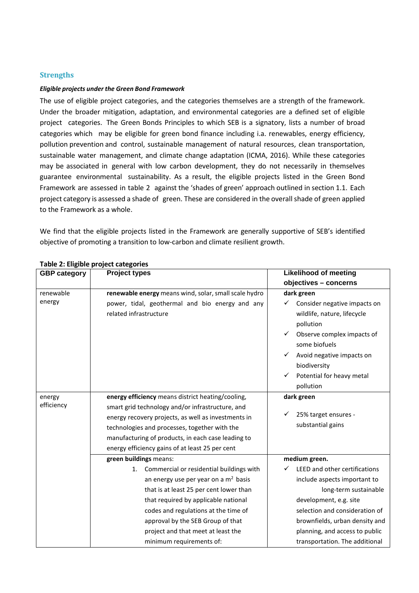#### <span id="page-7-0"></span>**Strengths**

#### *Eligible projects under the Green Bond Framework*

The use of eligible project categories, and the categories themselves are a strength of the framework. Under the broader mitigation, adaptation, and environmental categories are a defined set of eligible project categories. The Green Bonds Principles to which SEB is a signatory, lists a number of broad categories which may be eligible for green bond finance including i.a. renewables, energy efficiency, pollution prevention and control, sustainable management of natural resources, clean transportation, sustainable water management, and climate change adaptation (ICMA, 2016). While these categories may be associated in general with low carbon development, they do not necessarily in themselves guarantee environmental sustainability. As a result, the eligible projects listed in the Green Bond Framework are assessed in table 2 against the 'shades of green' approach outlined in section 1.1. Each project category is assessed a shade of green. These are considered in the overall shade of green applied to the Framework as a whole.

We find that the eligible projects listed in the Framework are generally supportive of SEB's identified objective of promoting a transition to low-carbon and climate resilient growth.

| <b>GBP category</b> | <b>Project types</b>                                  | <b>Likelihood of meeting</b>      |
|---------------------|-------------------------------------------------------|-----------------------------------|
|                     |                                                       | objectives - concerns             |
| renewable           | renewable energy means wind, solar, small scale hydro | dark green                        |
| energy              | power, tidal, geothermal and bio energy and any       | Consider negative impacts on<br>✓ |
|                     | related infrastructure                                | wildlife, nature, lifecycle       |
|                     |                                                       | pollution                         |
|                     |                                                       | Observe complex impacts of        |
|                     |                                                       | some biofuels                     |
|                     |                                                       | Avoid negative impacts on<br>✓    |
|                     |                                                       | biodiversity                      |
|                     |                                                       | Potential for heavy metal<br>✓    |
|                     |                                                       | pollution                         |
| energy              | energy efficiency means district heating/cooling,     | dark green                        |
| efficiency          | smart grid technology and/or infrastructure, and      |                                   |
|                     | energy recovery projects, as well as investments in   | 25% target ensures -              |
|                     | technologies and processes, together with the         | substantial gains                 |
|                     | manufacturing of products, in each case leading to    |                                   |
|                     | energy efficiency gains of at least 25 per cent       |                                   |
|                     | green buildings means:                                | medium green.                     |
|                     | Commercial or residential buildings with<br>1.        | LEED and other certifications     |
|                     | an energy use per year on a $m2$ basis                | include aspects important to      |
|                     | that is at least 25 per cent lower than               | long-term sustainable             |
|                     | that required by applicable national                  | development, e.g. site            |
|                     | codes and regulations at the time of                  | selection and consideration of    |
|                     | approval by the SEB Group of that                     | brownfields, urban density and    |
|                     | project and that meet at least the                    | planning, and access to public    |
|                     | minimum requirements of:                              | transportation. The additional    |

#### **Table 2: Eligible project categories**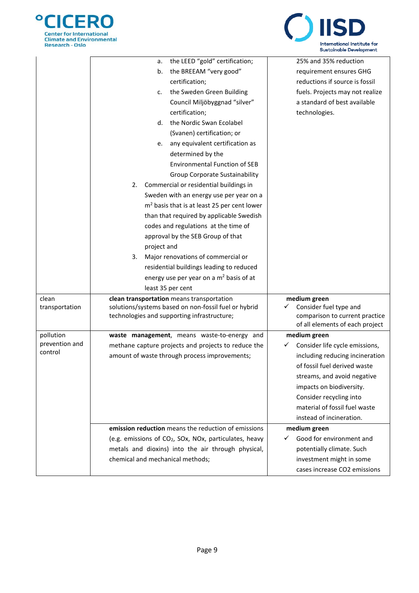



|                             | the LEED "gold" certification;<br>а.                               | 25% and 35% reduction                                           |
|-----------------------------|--------------------------------------------------------------------|-----------------------------------------------------------------|
|                             | the BREEAM "very good"<br>b.                                       | requirement ensures GHG                                         |
|                             | certification;                                                     | reductions if source is fossil                                  |
|                             | the Sweden Green Building<br>c.                                    | fuels. Projects may not realize                                 |
|                             | Council Miljöbyggnad "silver"                                      | a standard of best available                                    |
|                             | certification;                                                     | technologies.                                                   |
|                             | the Nordic Swan Ecolabel<br>d.                                     |                                                                 |
|                             | (Svanen) certification; or                                         |                                                                 |
|                             | any equivalent certification as<br>e.                              |                                                                 |
|                             | determined by the                                                  |                                                                 |
|                             | <b>Environmental Function of SEB</b>                               |                                                                 |
|                             | Group Corporate Sustainability                                     |                                                                 |
|                             | Commercial or residential buildings in<br>2.                       |                                                                 |
|                             | Sweden with an energy use per year on a                            |                                                                 |
|                             | $m2$ basis that is at least 25 per cent lower                      |                                                                 |
|                             | than that required by applicable Swedish                           |                                                                 |
|                             | codes and regulations at the time of                               |                                                                 |
|                             | approval by the SEB Group of that                                  |                                                                 |
|                             | project and                                                        |                                                                 |
|                             | 3.<br>Major renovations of commercial or                           |                                                                 |
|                             | residential buildings leading to reduced                           |                                                                 |
|                             | energy use per year on a m <sup>2</sup> basis of at                |                                                                 |
|                             | least 35 per cent                                                  |                                                                 |
| clean                       | clean transportation means transportation                          | medium green                                                    |
| transportation              | solutions/systems based on non-fossil fuel or hybrid               | Consider fuel type and<br>✓                                     |
|                             | technologies and supporting infrastructure;                        | comparison to current practice                                  |
|                             |                                                                    | of all elements of each project                                 |
| pollution<br>prevention and | waste management, means waste-to-energy and                        | medium green<br>✓                                               |
| control                     | methane capture projects and projects to reduce the                | Consider life cycle emissions,                                  |
|                             | amount of waste through process improvements;                      | including reducing incineration<br>of fossil fuel derived waste |
|                             |                                                                    |                                                                 |
|                             |                                                                    | streams, and avoid negative<br>impacts on biodiversity.         |
|                             |                                                                    |                                                                 |
|                             |                                                                    | Consider recycling into                                         |
|                             |                                                                    | material of fossil fuel waste                                   |
|                             |                                                                    | instead of incineration.                                        |
|                             | emission reduction means the reduction of emissions                | medium green                                                    |
|                             | (e.g. emissions of CO <sub>2</sub> , SOx, NOx, particulates, heavy | Good for environment and                                        |
|                             | metals and dioxins) into the air through physical,                 | potentially climate. Such                                       |
|                             | chemical and mechanical methods;                                   | investment might in some                                        |
|                             |                                                                    | cases increase CO2 emissions                                    |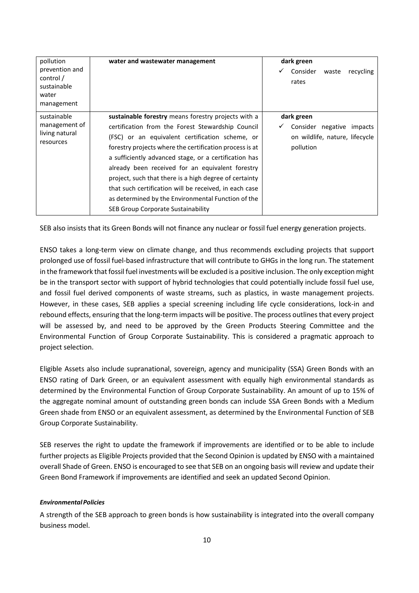| pollution                                                         | water and wastewater management                                                                                                                                                                                                                                                                                                                                                                                                                                                                                                                     | dark green                                                                                     |
|-------------------------------------------------------------------|-----------------------------------------------------------------------------------------------------------------------------------------------------------------------------------------------------------------------------------------------------------------------------------------------------------------------------------------------------------------------------------------------------------------------------------------------------------------------------------------------------------------------------------------------------|------------------------------------------------------------------------------------------------|
| prevention and<br>control /<br>sustainable<br>water<br>management |                                                                                                                                                                                                                                                                                                                                                                                                                                                                                                                                                     | Consider<br>✓<br>recycling<br>waste<br>rates                                                   |
| sustainable<br>management of<br>living natural<br>resources       | sustainable forestry means forestry projects with a<br>certification from the Forest Stewardship Council<br>(FSC) or an equivalent certification scheme, or<br>forestry projects where the certification process is at<br>a sufficiently advanced stage, or a certification has<br>already been received for an equivalent forestry<br>project, such that there is a high degree of certainty<br>that such certification will be received, in each case<br>as determined by the Environmental Function of the<br>SEB Group Corporate Sustainability | dark green<br>Consider negative<br>✓<br>impacts<br>on wildlife, nature, lifecycle<br>pollution |

SEB also insists that its Green Bonds will not finance any nuclear or fossil fuel energy generation projects.

ENSO takes a long-term view on climate change, and thus recommends excluding projects that support prolonged use of fossil fuel-based infrastructure that will contribute to GHGs in the long run. The statement in the framework that fossil fuel investments will be excluded is a positive inclusion. The only exception might be in the transport sector with support of hybrid technologies that could potentially include fossil fuel use, and fossil fuel derived components of waste streams, such as plastics, in waste management projects. However, in these cases, SEB applies a special screening including life cycle considerations, lock-in and rebound effects, ensuring that the long-term impacts will be positive. The process outlinesthat every project will be assessed by, and need to be approved by the Green Products Steering Committee and the Environmental Function of Group Corporate Sustainability. This is considered a pragmatic approach to project selection.

Eligible Assets also include supranational, sovereign, agency and municipality (SSA) Green Bonds with an ENSO rating of Dark Green, or an equivalent assessment with equally high environmental standards as determined by the Environmental Function of Group Corporate Sustainability. An amount of up to 15% of the aggregate nominal amount of outstanding green bonds can include SSA Green Bonds with a Medium Green shade from ENSO or an equivalent assessment, as determined by the Environmental Function of SEB Group Corporate Sustainability.

SEB reserves the right to update the framework if improvements are identified or to be able to include further projects as Eligible Projects provided that the Second Opinion is updated by ENSO with a maintained overall Shade of Green. ENSO is encouraged to see that SEB on an ongoing basis will review and update their Green Bond Framework if improvements are identified and seek an updated Second Opinion.

#### *EnvironmentalPolicies*

A strength of the SEB approach to green bonds is how sustainability is integrated into the overall company business model.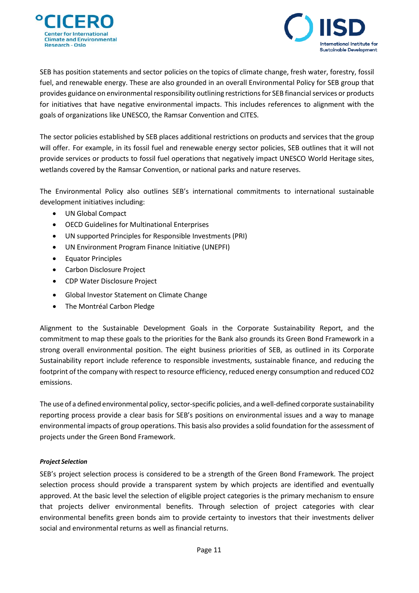



SEB has position statements and sector policies on the topics of climate change, fresh water, forestry, fossil fuel, and renewable energy. These are also grounded in an overall Environmental Policy for SEB group that provides guidance on environmental responsibility outlining restrictions for SEB financial services or products for initiatives that have negative environmental impacts. This includes references to alignment with the goals of organizations like UNESCO, the Ramsar Convention and CITES.

The sector policies established by SEB places additional restrictions on products and services that the group will offer. For example, in its fossil fuel and renewable energy sector policies, SEB outlines that it will not provide services or products to fossil fuel operations that negatively impact UNESCO World Heritage sites, wetlands covered by the Ramsar Convention, or national parks and nature reserves.

The Environmental Policy also outlines SEB's international commitments to international sustainable development initiatives including:

- UN Global Compact
- OECD Guidelines for Multinational Enterprises
- UN supported Principles for Responsible Investments (PRI)
- UN Environment Program Finance Initiative (UNEPFI)
- Equator Principles
- Carbon Disclosure Project
- CDP Water Disclosure Project
- Global Investor Statement on Climate Change
- The Montréal Carbon Pledge

Alignment to the Sustainable Development Goals in the Corporate Sustainability Report, and the commitment to map these goals to the priorities for the Bank also grounds its Green Bond Framework in a strong overall environmental position. The eight business priorities of SEB, as outlined in its Corporate Sustainability report include reference to responsible investments, sustainable finance, and reducing the footprint of the company with respect to resource efficiency, reduced energy consumption and reduced CO2 emissions.

The use of a defined environmental policy, sector-specific policies, and a well-defined corporate sustainability reporting process provide a clear basis for SEB's positions on environmental issues and a way to manage environmental impacts of group operations. This basis also provides a solid foundation forthe assessment of projects under the Green Bond Framework.

#### *Project Selection*

SEB's project selection process is considered to be a strength of the Green Bond Framework. The project selection process should provide a transparent system by which projects are identified and eventually approved. At the basic level the selection of eligible project categories is the primary mechanism to ensure that projects deliver environmental benefits. Through selection of project categories with clear environmental benefits green bonds aim to provide certainty to investors that their investments deliver social and environmental returns as well as financial returns.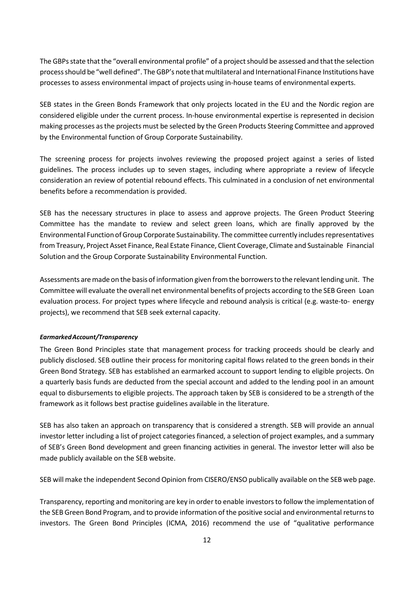The GBPs state that the "overall environmental profile" of a project should be assessed and that the selection process should be "well defined". The GBP's note that multilateral and International Finance Institutions have processes to assess environmental impact of projects using in-house teams of environmental experts.

SEB states in the Green Bonds Framework that only projects located in the EU and the Nordic region are considered eligible under the current process. In-house environmental expertise is represented in decision making processes asthe projects must be selected by the Green Products Steering Committee and approved by the Environmental function of Group Corporate Sustainability.

The screening process for projects involves reviewing the proposed project against a series of listed guidelines. The process includes up to seven stages, including where appropriate a review of lifecycle consideration an review of potential rebound effects. This culminated in a conclusion of net environmental benefits before a recommendation is provided.

SEB has the necessary structures in place to assess and approve projects. The Green Product Steering Committee has the mandate to review and select green loans, which are finally approved by the Environmental Function of Group Corporate Sustainability. The committee currently includes representatives fromTreasury, Project Asset Finance, Real Estate Finance, Client Coverage, Climate and Sustainable Financial Solution and the Group Corporate Sustainability Environmental Function.

Assessments are made on the basis of information given from the borrowers to the relevant lending unit. The Committee will evaluate the overall net environmental benefits of projects according to the SEB Green Loan evaluation process. For project types where lifecycle and rebound analysis is critical (e.g. waste-to- energy projects), we recommend that SEB seek external capacity.

#### *EarmarkedAccount/Transparency*

The Green Bond Principles state that management process for tracking proceeds should be clearly and publicly disclosed. SEB outline their process for monitoring capital flows related to the green bonds in their Green Bond Strategy. SEB has established an earmarked account to support lending to eligible projects. On a quarterly basis funds are deducted from the special account and added to the lending pool in an amount equal to disbursements to eligible projects. The approach taken by SEB is considered to be a strength of the framework as it follows best practise guidelines available in the literature.

SEB has also taken an approach on transparency that is considered a strength. SEB will provide an annual investor letter including a list of project categories financed, a selection of project examples, and a summary of SEB's Green Bond development and green financing activities in general. The investor letter will also be made publicly available on the SEB website.

SEB will make the independent Second Opinion from CISERO/ENSO publically available on the SEB web page.

Transparency, reporting and monitoring are key in order to enable investorsto follow the implementation of the SEB Green Bond Program, and to provide information of the positive social and environmental returnsto investors. The Green Bond Principles (ICMA, 2016) recommend the use of "qualitative performance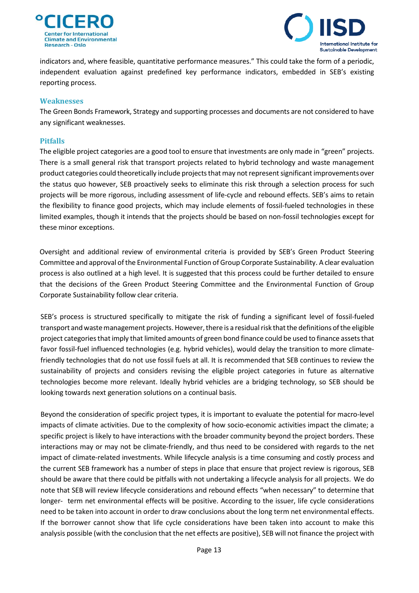



indicators and, where feasible, quantitative performance measures." This could take the form of a periodic, independent evaluation against predefined key performance indicators, embedded in SEB's existing reporting process.

#### <span id="page-12-0"></span>**Weaknesses**

The Green Bonds Framework, Strategy and supporting processes and documents are not considered to have any significant weaknesses.

#### <span id="page-12-1"></span>**Pitfalls**

The eligible project categories are a good tool to ensure that investments are only made in "green" projects. There is a small general risk that transport projects related to hybrid technology and waste management product categories could theoretically include projectsthatmay notrepresentsignificantimprovements over the status quo however, SEB proactively seeks to eliminate this risk through a selection process for such projects will be more rigorous, including assessment of life-cycle and rebound effects. SEB's aims to retain the flexibility to finance good projects, which may include elements of fossil-fueled technologies in these limited examples, though it intends that the projects should be based on non-fossil technologies except for these minor exceptions.

Oversight and additional review of environmental criteria is provided by SEB's Green Product Steering Committee and approval ofthe Environmental Function of Group Corporate Sustainability. A clear evaluation process is also outlined at a high level. It is suggested that this process could be further detailed to ensure that the decisions of the Green Product Steering Committee and the Environmental Function of Group Corporate Sustainability follow clear criteria.

SEB's process is structured specifically to mitigate the risk of funding a significant level of fossil-fueled transport and waste management projects. However, there is a residual risk that the definitions of the eligible project categories that imply that limited amounts of green bond finance could be used to finance assets that favor fossil-fuel influenced technologies (e.g. hybrid vehicles), would delay the transition to more climatefriendly technologies that do not use fossil fuels at all. It is recommended that SEB continues to review the sustainability of projects and considers revising the eligible project categories in future as alternative technologies become more relevant. Ideally hybrid vehicles are a bridging technology, so SEB should be looking towards next generation solutions on a continual basis.

Beyond the consideration of specific project types, it is important to evaluate the potential for macro-level impacts of climate activities. Due to the complexity of how socio-economic activities impact the climate; a specific project is likely to have interactions with the broader community beyond the project borders. These interactions may or may not be climate-friendly, and thus need to be considered with regards to the net impact of climate-related investments. While lifecycle analysis is a time consuming and costly process and the current SEB framework has a number of steps in place that ensure that project review is rigorous, SEB should be aware that there could be pitfalls with not undertaking a lifecycle analysis for all projects. We do note that SEB will review lifecycle considerations and rebound effects "when necessary" to determine that longer- term net environmental effects will be positive. According to the issuer, life cycle considerations need to be taken into account in order to draw conclusions about the long term net environmental effects. If the borrower cannot show that life cycle considerations have been taken into account to make this analysis possible (with the conclusion that the net effects are positive), SEB will not finance the project with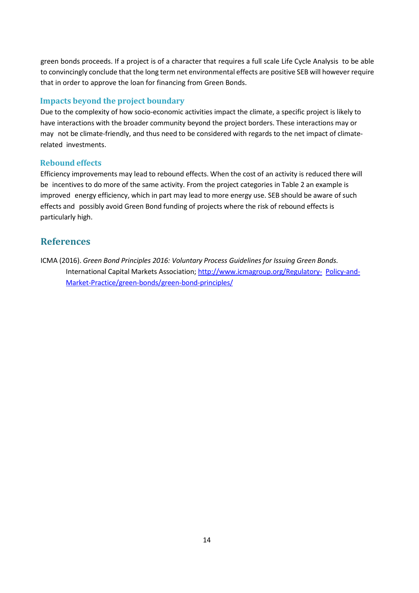green bonds proceeds. If a project is of a character that requires a full scale Life Cycle Analysis to be able to convincingly conclude that the long term net environmental effects are positive SEB will however require that in order to approve the loan for financing from Green Bonds.

### <span id="page-13-0"></span>**Impacts beyond the project boundary**

Due to the complexity of how socio-economic activities impact the climate, a specific project is likely to have interactions with the broader community beyond the project borders. These interactions may or may not be climate-friendly, and thus need to be considered with regards to the net impact of climaterelated investments.

#### <span id="page-13-1"></span>**Rebound effects**

Efficiency improvements may lead to rebound effects. When the cost of an activity is reduced there will be incentives to do more of the same activity. From the project categories in Table 2 an example is improved energy efficiency, which in part may lead to more energy use. SEB should be aware of such effects and possibly avoid Green Bond funding of projects where the risk of rebound effects is particularly high.

## <span id="page-13-2"></span>**References**

ICMA (2016). *Green Bond Principles 2016: Voluntary Process Guidelines for Issuing Green Bonds.* International Capital Markets Association; [http://www.icmagroup.org/Regulatory-](http://www.icmagroup.org/Regulatory-Policy-and-Market-Practice/green-bonds/green-bond-principles/) [Policy-and-](http://www.icmagroup.org/Regulatory-Policy-and-Market-Practice/green-bonds/green-bond-principles/)[Market-Practice/green-bonds/green-bond-principles/](http://www.icmagroup.org/Regulatory-Policy-and-Market-Practice/green-bonds/green-bond-principles/)